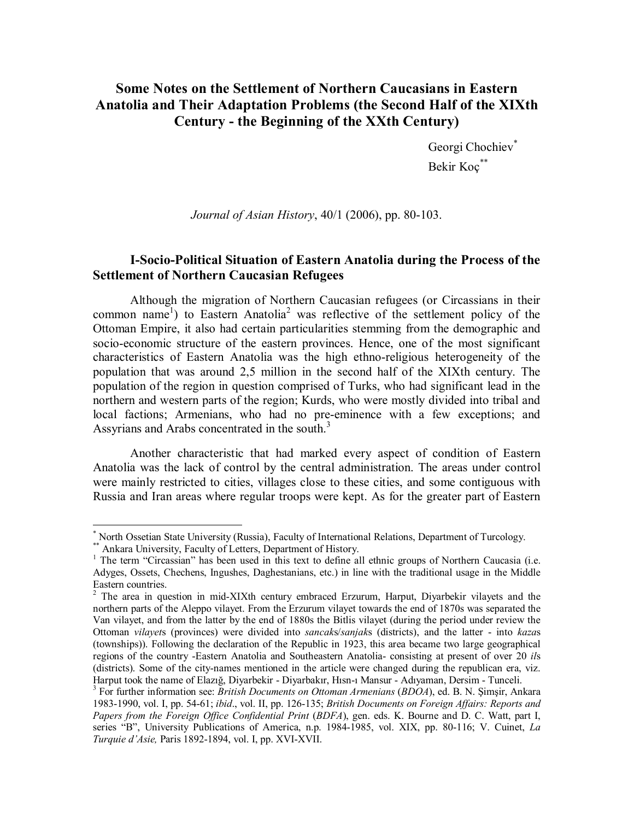# **Some Notes on the Settlement of Northern Caucasians in Eastern Anatolia and Their Adaptation Problems (the Second Half of the XIXth Century - the Beginning of the XXth Century)**

Georgi Chochiev\* Bekir Koç\*\*

*Journal of Asian History*, 40/1 (2006), pp. 80-103.

# **I-Socio-Political Situation of Eastern Anatolia during the Process of the Settlement of Northern Caucasian Refugees**

Although the migration of Northern Caucasian refugees (or Circassians in their common name<sup>1</sup>) to Eastern Anatolia<sup>2</sup> was reflective of the settlement policy of the Ottoman Empire, it also had certain particularities stemming from the demographic and socio-economic structure of the eastern provinces. Hence, one of the most significant characteristics of Eastern Anatolia was the high ethno-religious heterogeneity of the population that was around 2,5 million in the second half of the XIXth century. The population of the region in question comprised of Turks, who had significant lead in the northern and western parts of the region; Kurds, who were mostly divided into tribal and local factions; Armenians, who had no pre-eminence with a few exceptions; and Assyrians and Arabs concentrated in the south.<sup>3</sup>

Another characteristic that had marked every aspect of condition of Eastern Anatolia was the lack of control by the central administration. The areas under control were mainly restricted to cities, villages close to these cities, and some contiguous with Russia and Iran areas where regular troops were kept. As for the greater part of Eastern

 \* North Ossetian State University (Russia), Faculty of International Relations, Department of Turcology.

<sup>\*</sup> Ankara University, Faculty of Letters, Department of History.

<sup>&</sup>lt;sup>1</sup> The term "Circassian" has been used in this text to define all ethnic groups of Northern Caucasia (i.e. Adyges, Ossets, Chechens, Ingushes, Daghestanians, etc.) in line with the traditional usage in the Middle Eastern countries.

<sup>&</sup>lt;sup>2</sup> The area in question in mid-XIXth century embraced Erzurum, Harput, Diyarbekir vilayets and the northern parts of the Aleppo vilayet. From the Erzurum vilayet towards the end of 1870s was separated the Van vilayet, and from the latter by the end of 1880s the Bitlis vilayet (during the period under review the Ottoman *vilayet*s (provinces) were divided into *sancak*s/*sanjak*s (districts), and the latter - into *kaza*s (townships)). Following the declaration of the Republic in 1923, this area became two large geographical regions of the country -Eastern Anatolia and Southeastern Anatolia- consisting at present of over 20 *il*s (districts). Some of the city-names mentioned in the article were changed during the republican era, viz. Harput took the name of Elazığ, Diyarbekir - Diyarbakır, Hısn-ı Mansur - Adıyaman, Dersim - Tunceli. 3

For further information see: *British Documents on Ottoman Armenians* (*BDOA*), ed. B. N. Şimşir, Ankara 1983-1990, vol. I, pp. 54-61; *ibid*., vol. II, pp. 126-135; *British Documents on Foreign Affairs: Reports and Papers from the Foreign Office Confidential Print* (*BDFA*), gen. eds. K. Bourne and D. C. Watt, part I, series "B", University Publications of America, n.p. 1984-1985, vol. XIX, pp. 80-116; V. Cuinet, *La Turquie d'Asie,* Paris 1892-1894, vol. I, pp. XVI-XVII.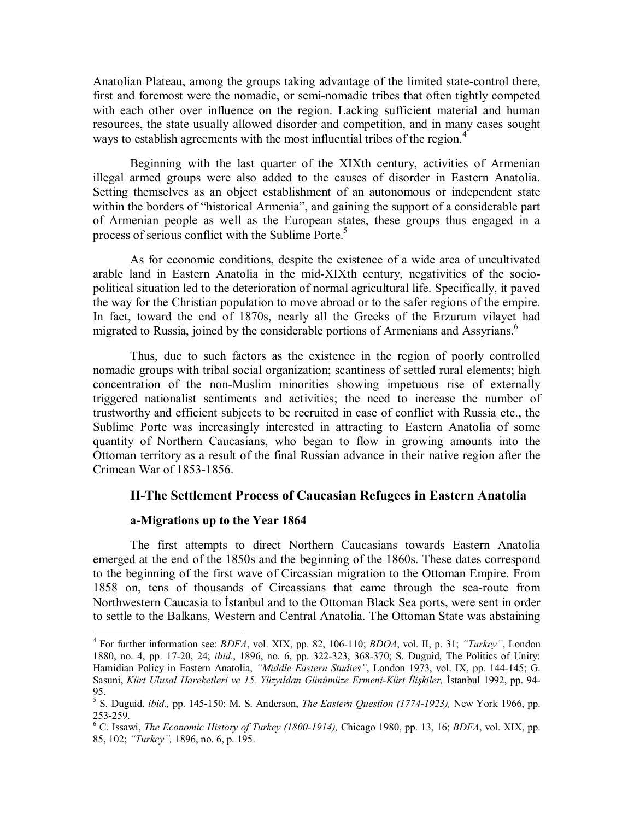Anatolian Plateau, among the groups taking advantage of the limited state-control there, first and foremost were the nomadic, or semi-nomadic tribes that often tightly competed with each other over influence on the region. Lacking sufficient material and human resources, the state usually allowed disorder and competition, and in many cases sought ways to establish agreements with the most influential tribes of the region.<sup>4</sup>

Beginning with the last quarter of the XIXth century, activities of Armenian illegal armed groups were also added to the causes of disorder in Eastern Anatolia. Setting themselves as an object establishment of an autonomous or independent state within the borders of "historical Armenia", and gaining the support of a considerable part of Armenian people as well as the European states, these groups thus engaged in a process of serious conflict with the Sublime Porte.<sup>5</sup>

As for economic conditions, despite the existence of a wide area of uncultivated arable land in Eastern Anatolia in the mid-XIXth century, negativities of the sociopolitical situation led to the deterioration of normal agricultural life. Specifically, it paved the way for the Christian population to move abroad or to the safer regions of the empire. In fact, toward the end of 1870s, nearly all the Greeks of the Erzurum vilayet had migrated to Russia, joined by the considerable portions of Armenians and Assyrians.<sup>6</sup>

Thus, due to such factors as the existence in the region of poorly controlled nomadic groups with tribal social organization; scantiness of settled rural elements; high concentration of the non-Muslim minorities showing impetuous rise of externally triggered nationalist sentiments and activities; the need to increase the number of trustworthy and efficient subjects to be recruited in case of conflict with Russia etc., the Sublime Porte was increasingly interested in attracting to Eastern Anatolia of some quantity of Northern Caucasians, who began to flow in growing amounts into the Ottoman territory as a result of the final Russian advance in their native region after the Crimean War of 1853-1856.

# **II-The Settlement Process of Caucasian Refugees in Eastern Anatolia**

#### **a-Migrations up to the Year 1864**

 $\overline{a}$ 

The first attempts to direct Northern Caucasians towards Eastern Anatolia emerged at the end of the 1850s and the beginning of the 1860s. These dates correspond to the beginning of the first wave of Circassian migration to the Ottoman Empire. From 1858 on, tens of thousands of Circassians that came through the sea-route from Northwestern Caucasia to İstanbul and to the Ottoman Black Sea ports, were sent in order to settle to the Balkans, Western and Central Anatolia. The Ottoman State was abstaining

<sup>4</sup> For further information see: *BDFA*, vol. XIX, pp. 82, 106-110; *BDOA*, vol. II, p. 31; *"Turkey"*, London 1880, no. 4, pp. 17-20, 24; *ibid*., 1896, no. 6, pp. 322-323, 368-370; S. Duguid, The Politics of Unity: Hamidian Policy in Eastern Anatolia, *"Middle Eastern Studies"*, London 1973, vol. IX, pp. 144-145; G. Sasuni, *Kürt Ulusal Hareketleri ve 15. Yüzyıldan Günümüze Ermeni-Kürt İlişkiler,* İstanbul 1992, pp. 94- 95.

<sup>5</sup> S. Duguid, *ibid.,* pp. 145-150; M. S. Anderson, *The Eastern Question (1774-1923),* New York 1966, pp. 253-259.

<sup>6</sup> C. Issawi, *The Economic History of Turkey (1800-1914),* Chicago 1980, pp. 13, 16; *BDFA*, vol. XIX, pp. 85, 102; *"Turkey",* 1896, no. 6, p. 195.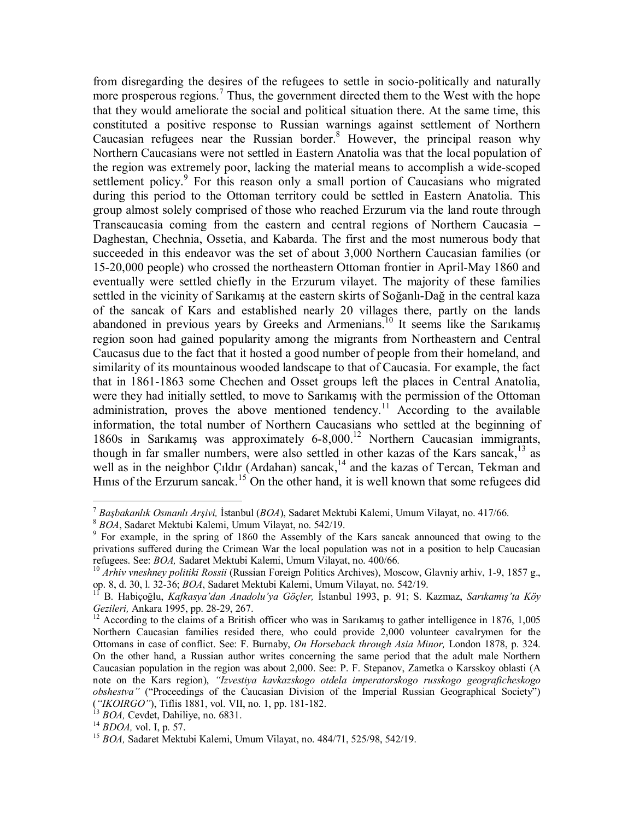from disregarding the desires of the refugees to settle in socio-politically and naturally more prosperous regions.<sup>7</sup> Thus, the government directed them to the West with the hope that they would ameliorate the social and political situation there. At the same time, this constituted a positive response to Russian warnings against settlement of Northern Caucasian refugees near the Russian border.<sup>8</sup> However, the principal reason why Northern Caucasians were not settled in Eastern Anatolia was that the local population of the region was extremely poor, lacking the material means to accomplish a wide-scoped settlement policy.<sup>9</sup> For this reason only a small portion of Caucasians who migrated during this period to the Ottoman territory could be settled in Eastern Anatolia. This group almost solely comprised of those who reached Erzurum via the land route through Transcaucasia coming from the eastern and central regions of Northern Caucasia – Daghestan, Chechnia, Ossetia, and Kabarda. The first and the most numerous body that succeeded in this endeavor was the set of about 3,000 Northern Caucasian families (or 15-20,000 people) who crossed the northeastern Ottoman frontier in April-May 1860 and eventually were settled chiefly in the Erzurum vilayet. The majority of these families settled in the vicinity of Sarıkamış at the eastern skirts of Soğanlı-Dağ in the central kaza of the sancak of Kars and established nearly 20 villages there, partly on the lands abandoned in previous years by Greeks and Armenians.<sup>10</sup> It seems like the Sarikamis region soon had gained popularity among the migrants from Northeastern and Central Caucasus due to the fact that it hosted a good number of people from their homeland, and similarity of its mountainous wooded landscape to that of Caucasia. For example, the fact that in 1861-1863 some Chechen and Osset groups left the places in Central Anatolia, were they had initially settled, to move to Sarıkamış with the permission of the Ottoman administration, proves the above mentioned tendency.<sup>11</sup> According to the available information, the total number of Northern Caucasians who settled at the beginning of 1860s in Sarıkamış was approximately 6-8,000.12 Northern Caucasian immigrants, though in far smaller numbers, were also settled in other kazas of the Kars sancak, $13$  as well as in the neighbor Çıldır (Ardahan) sancak,<sup>14</sup> and the kazas of Tercan, Tekman and Hinis of the Erzurum sancak.<sup>15</sup> On the other hand, it is well known that some refugees did

<sup>7</sup> *Başbakanlık Osmanlı Arşivi,* <sup>İ</sup>stanbul (*BOA*), Sadaret Mektubi Kalemi, Umum Vilayat, no. 417/66. 8 *BOA*, Sadaret Mektubi Kalemi, Umum Vilayat, no. 542/19. 9

 $9$  For example, in the spring of 1860 the Assembly of the Kars sancak announced that owing to the privations suffered during the Crimean War the local population was not in a position to help Caucasian refugees. See: *BOA*, Sadaret Mektubi Kalemi, Umum Vilayat, no. 400/66.<br><sup>10</sup> *Arhiv vneshney politiki Rossii* (Russian Foreign Politics Archives), Moscow, Glavniy arhiv, 1-9, 1857 g.,

op. 8, d. 30, l. 32-36; *BOA*, Sadaret Mektubi Kalemi, Umum Vilayat, no. 542/19. 11 B. Habiçoğlu, *Kafkasya'dan Anadolu'ya Göçler,* <sup>İ</sup>stanbul 1993, p. 91; S. Kazmaz, *Sarıkamış'ta Köy* 

<sup>&</sup>lt;sup>12</sup> According to the claims of a British officer who was in Sarıkamış to gather intelligence in 1876, 1,005 Northern Caucasian families resided there, who could provide 2,000 volunteer cavalrymen for the Ottomans in case of conflict. See: F. Burnaby, *On Horseback through Asia Minor,* London 1878, p. 324. On the other hand, a Russian author writes concerning the same period that the adult male Northern Caucasian population in the region was about 2,000. See: P. F. Stepanov, Zametka o Karsskoy oblasti (A note on the Kars region), *"Izvestiya kavkazskogo otdela imperatorskogo russkogo geograficheskogo obshestva"* ("Proceedings of the Caucasian Division of the Imperial Russian Geographical Society") (*"IKOIRGO"*), Tiflis 1881, vol. VII, no. 1, pp. 181-182.<br><sup>13</sup> *BOA*, Cevdet, Dahiliye, no. 6831.<br><sup>14</sup> *BDOA*, vol. I, p. 57. <sup>15</sup> *BOA*, Sadaret Mektubi Kalemi, Umum Vilayat, no. 484/71, 525/98, 542/19.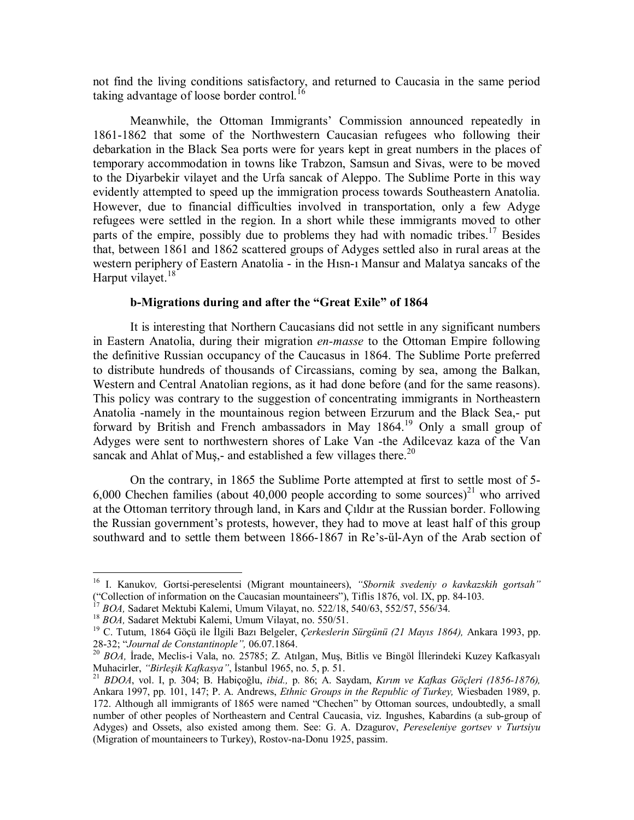not find the living conditions satisfactory, and returned to Caucasia in the same period taking advantage of loose border control.<sup>16</sup>

Meanwhile, the Ottoman Immigrants' Commission announced repeatedly in 1861-1862 that some of the Northwestern Caucasian refugees who following their debarkation in the Black Sea ports were for years kept in great numbers in the places of temporary accommodation in towns like Trabzon, Samsun and Sivas, were to be moved to the Diyarbekir vilayet and the Urfa sancak of Aleppo. The Sublime Porte in this way evidently attempted to speed up the immigration process towards Southeastern Anatolia. However, due to financial difficulties involved in transportation, only a few Adyge refugees were settled in the region. In a short while these immigrants moved to other parts of the empire, possibly due to problems they had with nomadic tribes.<sup>17</sup> Besides that, between 1861 and 1862 scattered groups of Adyges settled also in rural areas at the western periphery of Eastern Anatolia - in the Hısn-ı Mansur and Malatya sancaks of the Harput vilayet.<sup>18</sup>

# **b-Migrations during and after the "Great Exile" of 1864**

It is interesting that Northern Caucasians did not settle in any significant numbers in Eastern Anatolia, during their migration *en-masse* to the Ottoman Empire following the definitive Russian occupancy of the Caucasus in 1864. The Sublime Porte preferred to distribute hundreds of thousands of Circassians, coming by sea, among the Balkan, Western and Central Anatolian regions, as it had done before (and for the same reasons). This policy was contrary to the suggestion of concentrating immigrants in Northeastern Anatolia -namely in the mountainous region between Erzurum and the Black Sea,- put forward by British and French ambassadors in May 1864.19 Only a small group of Adyges were sent to northwestern shores of Lake Van -the Adilcevaz kaza of the Van sancak and Ahlat of Mus,- and established a few villages there.<sup>20</sup>

On the contrary, in 1865 the Sublime Porte attempted at first to settle most of 5- 6,000 Chechen families (about 40,000 people according to some sources)<sup>21</sup> who arrived at the Ottoman territory through land, in Kars and Çıldır at the Russian border. Following the Russian government's protests, however, they had to move at least half of this group southward and to settle them between 1866-1867 in Re's-ül-Ayn of the Arab section of

<sup>16</sup> I. Kanukov*,* Gortsi-pereselentsi (Migrant mountaineers), *"Sbornik svedeniy o kavkazskih gortsah"* ("Collection of information on the Caucasian mountaineers"), Tiflis 1876, vol. IX, pp. 84-103.<br><sup>17</sup> BOA, Sadaret Mektubi Kalemi, Umum Vilayat, no. 522/18, 540/63, 552/57, 556/34.

<sup>&</sup>lt;sup>18</sup> BOA, Sadaret Mektubi Kalemi, Umum Vilayat, no. 550/51.<br><sup>19</sup> C. Tutum, 1864 Göçü ile İlgili Bazı Belgeler, *Çerkeslerin Sürgünü (21 Mayıs 1864)*, Ankara 1993, pp.<br>28-32; *"Journal de Constantinople"*, 06.07.1864.

<sup>&</sup>lt;sup>20</sup> BOA, İrade, Meclis-i Vala, no. 25785; Z. Atılgan, Muş, Bitlis ve Bingöl İllerindeki Kuzey Kafkasyalı Muhacirler, "Birleşik Kafkasya", İstanbul 1965, no. 5, p. 51.

Muhacirler, *"Birleşik Kafkasya"*, İstanbul 1965, no. 5, p. 51. 21 *BDOA*, vol. I, p. 304; B. Habiçoğlu, *ibid.,* p. 86; A. Saydam, *Kırım ve Kafkas Göçleri (1856-1876),*  Ankara 1997, pp. 101, 147; P. A. Andrews, *Ethnic Groups in the Republic of Turkey,* Wiesbaden 1989, p. 172. Although all immigrants of 1865 were named "Chechen" by Ottoman sources, undoubtedly, a small number of other peoples of Northeastern and Central Caucasia, viz. Ingushes, Kabardins (a sub-group of Adyges) and Ossets, also existed among them. See: G. A. Dzagurov, *Pereseleniye gortsev v Turtsiyu* (Migration of mountaineers to Turkey), Rostov-na-Donu 1925, passim.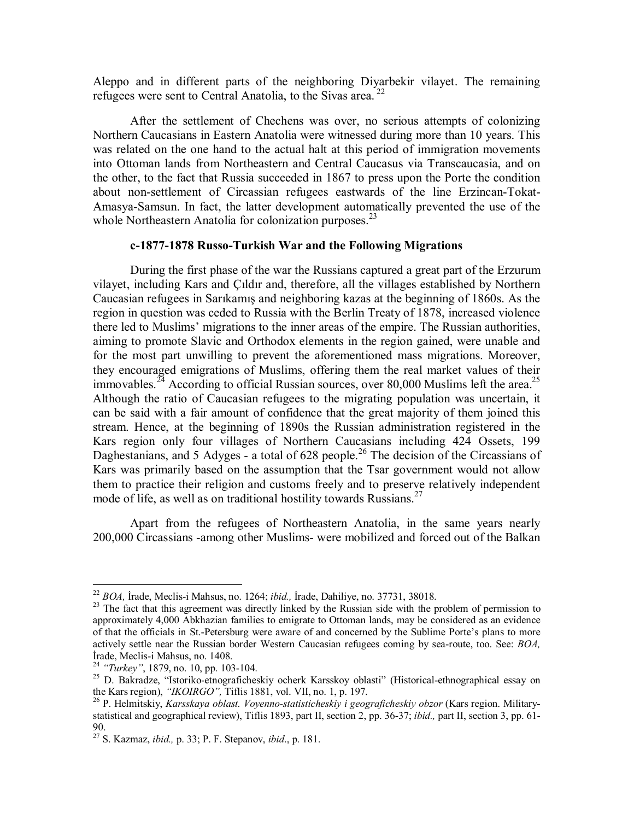Aleppo and in different parts of the neighboring Diyarbekir vilayet. The remaining refugees were sent to Central Anatolia, to the Sivas area.<sup>22</sup>

After the settlement of Chechens was over, no serious attempts of colonizing Northern Caucasians in Eastern Anatolia were witnessed during more than 10 years. This was related on the one hand to the actual halt at this period of immigration movements into Ottoman lands from Northeastern and Central Caucasus via Transcaucasia, and on the other, to the fact that Russia succeeded in 1867 to press upon the Porte the condition about non-settlement of Circassian refugees eastwards of the line Erzincan-Tokat-Amasya-Samsun. In fact, the latter development automatically prevented the use of the whole Northeastern Anatolia for colonization purposes. $^{23}$ 

# **c-1877-1878 Russo-Turkish War and the Following Migrations**

During the first phase of the war the Russians captured a great part of the Erzurum vilayet, including Kars and Çıldır and, therefore, all the villages established by Northern Caucasian refugees in Sarıkamış and neighboring kazas at the beginning of 1860s. As the region in question was ceded to Russia with the Berlin Treaty of 1878, increased violence there led to Muslims' migrations to the inner areas of the empire. The Russian authorities, aiming to promote Slavic and Orthodox elements in the region gained, were unable and for the most part unwilling to prevent the aforementioned mass migrations. Moreover, they encouraged emigrations of Muslims, offering them the real market values of their immovables.<sup>24</sup> According to official Russian sources, over 80,000 Muslims left the area.<sup>25</sup> Although the ratio of Caucasian refugees to the migrating population was uncertain, it can be said with a fair amount of confidence that the great majority of them joined this stream. Hence, at the beginning of 1890s the Russian administration registered in the Kars region only four villages of Northern Caucasians including 424 Ossets, 199 Daghestanians, and 5 Adyges - a total of 628 people.<sup>26</sup> The decision of the Circassians of Kars was primarily based on the assumption that the Tsar government would not allow them to practice their religion and customs freely and to preserve relatively independent mode of life, as well as on traditional hostility towards Russians.<sup>27</sup>

Apart from the refugees of Northeastern Anatolia, in the same years nearly 200,000 Circassians -among other Muslims- were mobilized and forced out of the Balkan

<sup>&</sup>lt;sup>22</sup> BOA. Irade, Meclis-i Mahsus, no. 1264; *ibid.*, Irade, Dahiliye, no. 37731, 38018.

<sup>&</sup>lt;sup>23</sup> The fact that this agreement was directly linked by the Russian side with the problem of permission to approximately 4,000 Abkhazian families to emigrate to Ottoman lands, may be considered as an evidence of that the officials in St.-Petersburg were aware of and concerned by the Sublime Porte's plans to more actively settle near the Russian border Western Caucasian refugees coming by sea-route, too. See: *BOA,* İrade, Meclis-i Mahsus, no. 1408.

<sup>&</sup>lt;sup>25</sup> D. Bakradze, "Istoriko-etnograficheskiy ocherk Karsskoy oblasti" (Historical-ethnographical essay on the Kars region). "*IKOIRGO*". Tiflis 1881, vol. VII, no. 1, p. 197.

<sup>&</sup>lt;sup>26</sup> P. Helmitskiy, *Karsskaya oblast. Voyenno-statisticheskiy i geograficheskiy obzor* (Kars region. Militarystatistical and geographical review), Tiflis 1893, part II, section 2, pp. 36-37; *ibid.,* part II, section 3, pp. 61- 90.

<sup>27</sup> S. Kazmaz, *ibid.,* p. 33; P. F. Stepanov, *ibid*., p. 181.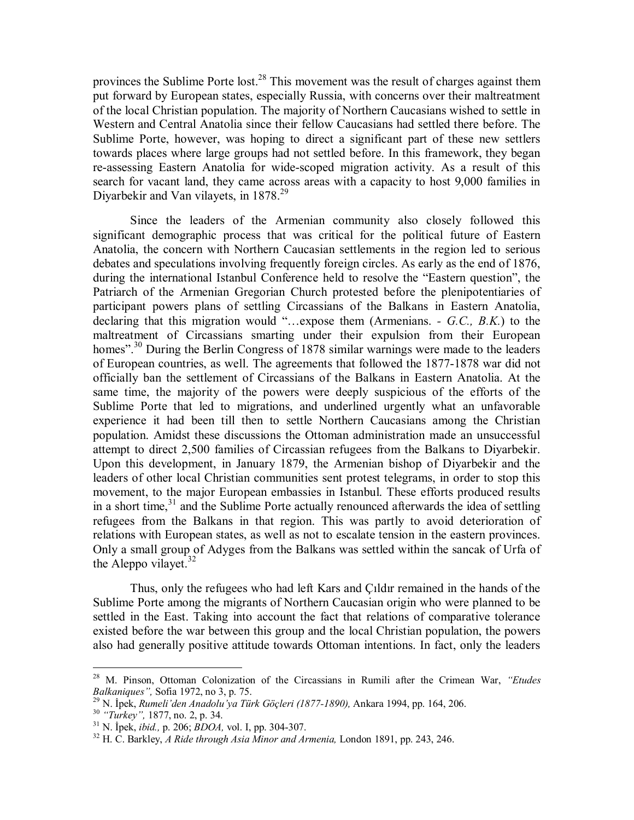provinces the Sublime Porte lost.<sup>28</sup> This movement was the result of charges against them put forward by European states, especially Russia, with concerns over their maltreatment of the local Christian population. The majority of Northern Caucasians wished to settle in Western and Central Anatolia since their fellow Caucasians had settled there before. The Sublime Porte, however, was hoping to direct a significant part of these new settlers towards places where large groups had not settled before. In this framework, they began re-assessing Eastern Anatolia for wide-scoped migration activity. As a result of this search for vacant land, they came across areas with a capacity to host 9,000 families in Divarbekir and Van vilayets, in  $1878.<sup>29</sup>$ 

Since the leaders of the Armenian community also closely followed this significant demographic process that was critical for the political future of Eastern Anatolia, the concern with Northern Caucasian settlements in the region led to serious debates and speculations involving frequently foreign circles. As early as the end of 1876, during the international Istanbul Conference held to resolve the "Eastern question", the Patriarch of the Armenian Gregorian Church protested before the plenipotentiaries of participant powers plans of settling Circassians of the Balkans in Eastern Anatolia, declaring that this migration would "…expose them (Armenians. *- G.C., B.K.*) to the maltreatment of Circassians smarting under their expulsion from their European homes".<sup>30</sup> During the Berlin Congress of 1878 similar warnings were made to the leaders of European countries, as well. The agreements that followed the 1877-1878 war did not officially ban the settlement of Circassians of the Balkans in Eastern Anatolia. At the same time, the majority of the powers were deeply suspicious of the efforts of the Sublime Porte that led to migrations, and underlined urgently what an unfavorable experience it had been till then to settle Northern Caucasians among the Christian population. Amidst these discussions the Ottoman administration made an unsuccessful attempt to direct 2,500 families of Circassian refugees from the Balkans to Diyarbekir. Upon this development, in January 1879, the Armenian bishop of Diyarbekir and the leaders of other local Christian communities sent protest telegrams, in order to stop this movement, to the major European embassies in Istanbul. These efforts produced results in a short time,  $31$  and the Sublime Porte actually renounced afterwards the idea of settling refugees from the Balkans in that region. This was partly to avoid deterioration of relations with European states, as well as not to escalate tension in the eastern provinces. Only a small group of Adyges from the Balkans was settled within the sancak of Urfa of the Aleppo vilayet. $32$ 

Thus, only the refugees who had left Kars and Çıldır remained in the hands of the Sublime Porte among the migrants of Northern Caucasian origin who were planned to be settled in the East. Taking into account the fact that relations of comparative tolerance existed before the war between this group and the local Christian population, the powers also had generally positive attitude towards Ottoman intentions. In fact, only the leaders

<sup>28</sup> M. Pinson, Ottoman Colonization of the Circassians in Rumili after the Crimean War, *"Etudes Balkaniques"*, Sofia 1972, no 3, p. 75.<br><sup>29</sup> N. İpek, *Rumeli'den Anadolu'ya Türk Göçleri (1877-1890)*, Ankara 1994, pp. 164, 206.<br><sup>30</sup> "*Turkey"*, 1877, no. 2, p. 34.<br><sup>31</sup> N. İpek, *ibid.*, p. 206; *BDOA*, vol. I, pp. 30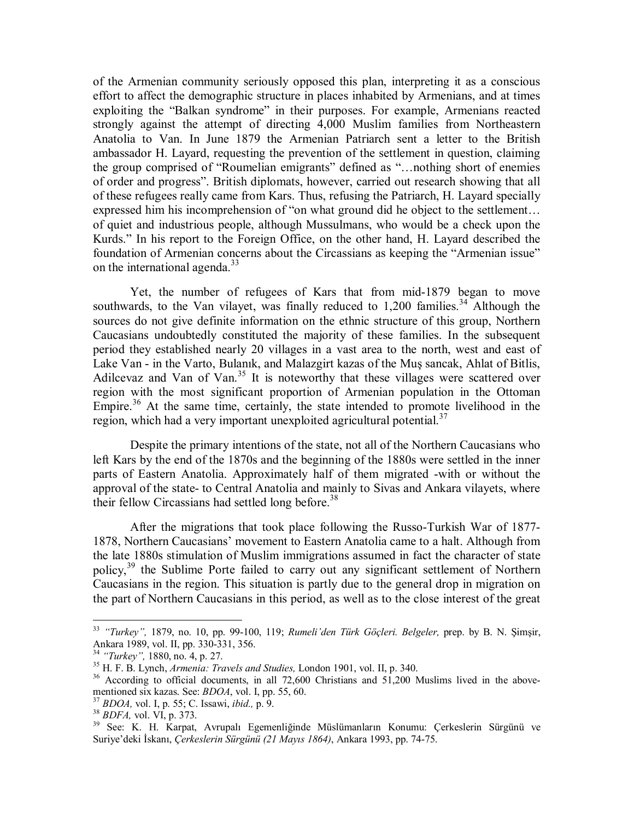of the Armenian community seriously opposed this plan, interpreting it as a conscious effort to affect the demographic structure in places inhabited by Armenians, and at times exploiting the "Balkan syndrome" in their purposes. For example, Armenians reacted strongly against the attempt of directing 4,000 Muslim families from Northeastern Anatolia to Van. In June 1879 the Armenian Patriarch sent a letter to the British ambassador H. Layard, requesting the prevention of the settlement in question, claiming the group comprised of "Roumelian emigrants" defined as "…nothing short of enemies of order and progress". British diplomats, however, carried out research showing that all of these refugees really came from Kars. Thus, refusing the Patriarch, H. Layard specially expressed him his incomprehension of "on what ground did he object to the settlement… of quiet and industrious people, although Mussulmans, who would be a check upon the Kurds." In his report to the Foreign Office, on the other hand, H. Layard described the foundation of Armenian concerns about the Circassians as keeping the "Armenian issue" on the international agenda.<sup>33</sup>

Yet, the number of refugees of Kars that from mid-1879 began to move southwards, to the Van vilayet, was finally reduced to  $1,200$  families.<sup>34</sup> Although the sources do not give definite information on the ethnic structure of this group, Northern Caucasians undoubtedly constituted the majority of these families. In the subsequent period they established nearly 20 villages in a vast area to the north, west and east of Lake Van - in the Varto, Bulanık, and Malazgirt kazas of the Muş sancak, Ahlat of Bitlis, Adilcevaz and Van of Van.<sup>35</sup> It is noteworthy that these villages were scattered over region with the most significant proportion of Armenian population in the Ottoman Empire.<sup>36</sup> At the same time, certainly, the state intended to promote livelihood in the region, which had a very important unexploited agricultural potential.<sup>37</sup>

Despite the primary intentions of the state, not all of the Northern Caucasians who left Kars by the end of the 1870s and the beginning of the 1880s were settled in the inner parts of Eastern Anatolia. Approximately half of them migrated -with or without the approval of the state- to Central Anatolia and mainly to Sivas and Ankara vilayets, where their fellow Circassians had settled long before.<sup>38</sup>

After the migrations that took place following the Russo-Turkish War of 1877- 1878, Northern Caucasians' movement to Eastern Anatolia came to a halt. Although from the late 1880s stimulation of Muslim immigrations assumed in fact the character of state policy,<sup>39</sup> the Sublime Porte failed to carry out any significant settlement of Northern Caucasians in the region. This situation is partly due to the general drop in migration on the part of Northern Caucasians in this period, as well as to the close interest of the great

<sup>33</sup> *"Turkey",* 1879, no. 10, pp. 99-100, 119; *Rumeli'den Türk Göçleri. Belgeler,* prep. by B. N. Şimşir, Ankara 1989, vol. II, pp. 330-331, 356.<br><sup>34</sup> "Turkey", 1880, no. 4, p. 27.

<sup>&</sup>lt;sup>35</sup> H. F. B. Lynch, *Armenia: Travels and Studies*, London 1901, vol. II, p. 340.<br><sup>36</sup> According to official documents, in all 72,600 Christians and 51,200 Muslims lived in the above-<br>mentioned six kazas. See: *BDOA*, vo

<sup>37</sup> BDOA, vol. I, p. 55; C. Issawi, *ibid.*, p. 9.<br>
<sup>38</sup> BDFA, vol. VI, p. 373.<br>
<sup>39</sup> See: K. H. Karpat. Avrupalı Egemenliğinde Müslümanların Konumu: Cerkeslerin Sürgünü ve Suriye'deki İskanı, *Çerkeslerin Sürgünü (21 Mayıs 1864)*, Ankara 1993, pp. 74-75.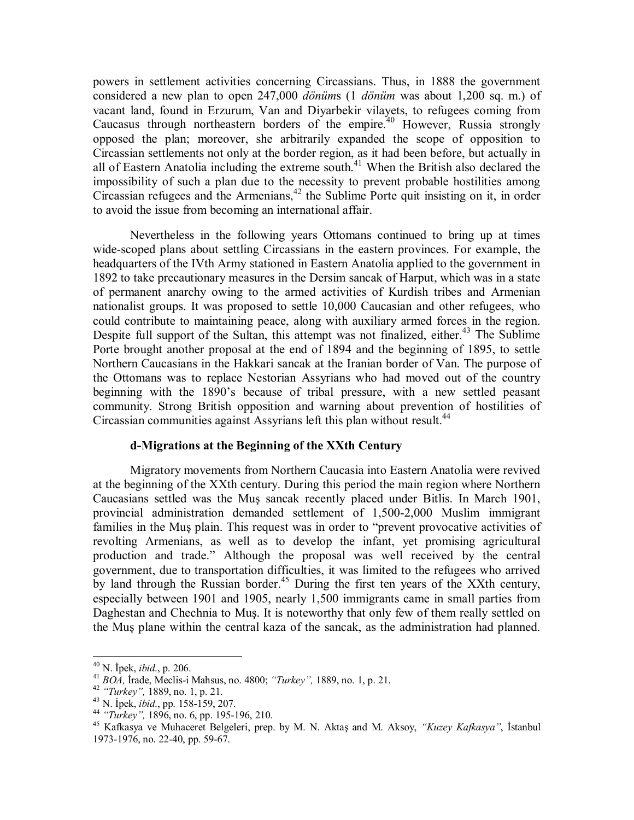powers in settlement activities concerning Circassians. Thus, in 1888 the government considered a new plan to open 247,000 *dönüm*s (1 *dönüm* was about 1,200 sq. m.) of vacant land, found in Erzurum, Van and Diyarbekir vilayets, to refugees coming from Caucasus through northeastern borders of the empire.<sup>40</sup> However, Russia strongly opposed the plan; moreover, she arbitrarily expanded the scope of opposition to Circassian settlements not only at the border region, as it had been before, but actually in all of Eastern Anatolia including the extreme south.<sup>41</sup> When the British also declared the impossibility of such a plan due to the necessity to prevent probable hostilities among Circassian refugees and the Armenians,<sup>42</sup> the Sublime Porte quit insisting on it, in order to avoid the issue from becoming an international affair.

Nevertheless in the following years Ottomans continued to bring up at times wide-scoped plans about settling Circassians in the eastern provinces. For example, the headquarters of the IVth Army stationed in Eastern Anatolia applied to the government in 1892 to take precautionary measures in the Dersim sancak of Harput, which was in a state of permanent anarchy owing to the armed activities of Kurdish tribes and Armenian nationalist groups. It was proposed to settle 10,000 Caucasian and other refugees, who could contribute to maintaining peace, along with auxiliary armed forces in the region. Despite full support of the Sultan, this attempt was not finalized, either.<sup>43</sup> The Sublime Porte brought another proposal at the end of 1894 and the beginning of 1895, to settle Northern Caucasians in the Hakkari sancak at the Iranian border of Van. The purpose of the Ottomans was to replace Nestorian Assyrians who had moved out of the country beginning with the 1890's because of tribal pressure, with a new settled peasant community. Strong British opposition and warning about prevention of hostilities of Circassian communities against Assyrians left this plan without result.<sup>44</sup>

#### **d-Migrations at the Beginning of the XXth Century**

Migratory movements from Northern Caucasia into Eastern Anatolia were revived at the beginning of the XXth century. During this period the main region where Northern Caucasians settled was the Muş sancak recently placed under Bitlis. In March 1901, provincial administration demanded settlement of 1,500-2,000 Muslim immigrant families in the Muş plain. This request was in order to "prevent provocative activities of revolting Armenians, as well as to develop the infant, yet promising agricultural production and trade." Although the proposal was well received by the central government, due to transportation difficulties, it was limited to the refugees who arrived by land through the Russian border.<sup>45</sup> During the first ten years of the XXth century, especially between 1901 and 1905, nearly 1,500 immigrants came in small parties from Daghestan and Chechnia to Muş. It is noteworthy that only few of them really settled on the Muş plane within the central kaza of the sancak, as the administration had planned.

 $40$  N. İpek, *ibid.*, p. 206.

<sup>&</sup>lt;sup>41</sup> BOA, Irade, Meclis-i Mahsus, no. 4800; "Turkey", 1889, no. 1, p. 21.<br><sup>42</sup> "Turkey", 1889, no. 1, p. 21.<br><sup>43</sup> N. Ipek, *ibid.*, pp. 158-159, 207.<br><sup>44</sup> "Turkey", 1896, no. 6, pp. 195-196, 210.<br><sup>45</sup> Kafkasya ve Muhacere 1973-1976, no. 22-40, pp. 59-67.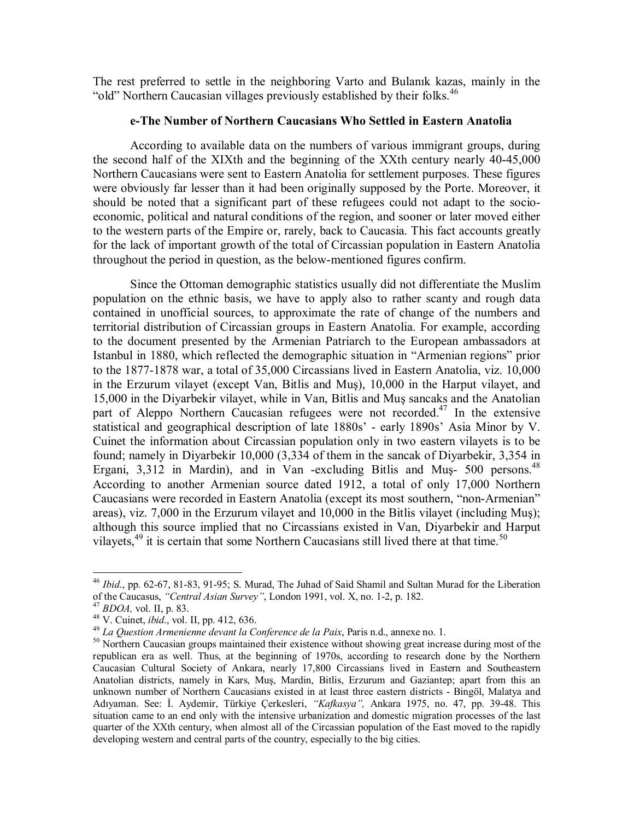The rest preferred to settle in the neighboring Varto and Bulanık kazas, mainly in the "old" Northern Caucasian villages previously established by their folks.  $46$ 

# **e-The Number of Northern Caucasians Who Settled in Eastern Anatolia**

According to available data on the numbers of various immigrant groups, during the second half of the XIXth and the beginning of the XXth century nearly 40-45,000 Northern Caucasians were sent to Eastern Anatolia for settlement purposes. These figures were obviously far lesser than it had been originally supposed by the Porte. Moreover, it should be noted that a significant part of these refugees could not adapt to the socioeconomic, political and natural conditions of the region, and sooner or later moved either to the western parts of the Empire or, rarely, back to Caucasia. This fact accounts greatly for the lack of important growth of the total of Circassian population in Eastern Anatolia throughout the period in question, as the below-mentioned figures confirm.

Since the Ottoman demographic statistics usually did not differentiate the Muslim population on the ethnic basis, we have to apply also to rather scanty and rough data contained in unofficial sources, to approximate the rate of change of the numbers and territorial distribution of Circassian groups in Eastern Anatolia. For example, according to the document presented by the Armenian Patriarch to the European ambassadors at Istanbul in 1880, which reflected the demographic situation in "Armenian regions" prior to the 1877-1878 war, a total of 35,000 Circassians lived in Eastern Anatolia, viz. 10,000 in the Erzurum vilayet (except Van, Bitlis and Muş), 10,000 in the Harput vilayet, and 15,000 in the Diyarbekir vilayet, while in Van, Bitlis and Muş sancaks and the Anatolian part of Aleppo Northern Caucasian refugees were not recorded.<sup>47</sup> In the extensive statistical and geographical description of late 1880s' - early 1890s' Asia Minor by V. Cuinet the information about Circassian population only in two eastern vilayets is to be found; namely in Diyarbekir 10,000 (3,334 of them in the sancak of Diyarbekir, 3,354 in Ergani, 3,312 in Mardin), and in Van -excluding Bitlis and Mus- 500 persons.<sup>48</sup> According to another Armenian source dated 1912, a total of only 17,000 Northern Caucasians were recorded in Eastern Anatolia (except its most southern, "non-Armenian" areas), viz. 7,000 in the Erzurum vilayet and 10,000 in the Bitlis vilayet (including Muş); although this source implied that no Circassians existed in Van, Diyarbekir and Harput vilayets,  $49$  it is certain that some Northern Caucasians still lived there at that time.<sup>50</sup>

<sup>&</sup>lt;sup>46</sup> *Ibid.*, pp. 62-67, 81-83, 91-95; S. Murad, The Juhad of Said Shamil and Sultan Murad for the Liberation of the Caucasus, "Central Asian Survey", London 1991, vol. X, no. 1-2, p. 182.

<sup>&</sup>lt;sup>47</sup> BDOA, vol. II, p. 83.<br><sup>48</sup> V. Cuinet, *ibid.*, vol. II, pp. 412, 636.<br><sup>49</sup> La Question Armenienne devant la Conference de la Paix, Paris n.d., annexe no. 1.<br><sup>50</sup> Northern Caucasian groups maintained their existence w republican era as well. Thus, at the beginning of 1970s, according to research done by the Northern Caucasian Cultural Society of Ankara, nearly 17,800 Circassians lived in Eastern and Southeastern Anatolian districts, namely in Kars, Muş, Mardin, Bitlis, Erzurum and Gaziantep; apart from this an unknown number of Northern Caucasians existed in at least three eastern districts - Bingöl, Malatya and Adıyaman. See: İ. Aydemir, Türkiye Çerkesleri, *"Kafkasya",* Ankara 1975, no. 47, pp. 39-48. This situation came to an end only with the intensive urbanization and domestic migration processes of the last quarter of the XXth century, when almost all of the Circassian population of the East moved to the rapidly developing western and central parts of the country, especially to the big cities.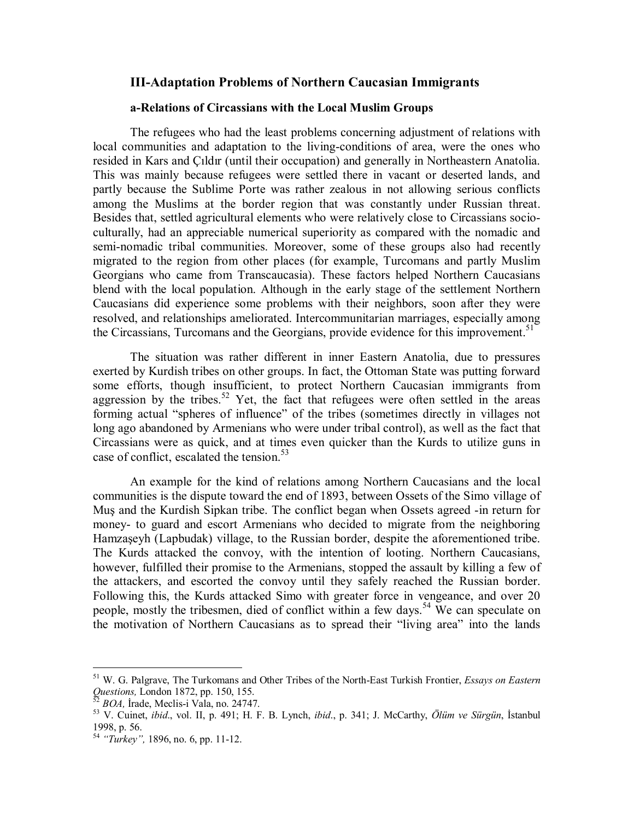# **III-Adaptation Problems of Northern Caucasian Immigrants**

# **a-Relations of Circassians with the Local Muslim Groups**

The refugees who had the least problems concerning adjustment of relations with local communities and adaptation to the living-conditions of area, were the ones who resided in Kars and Çıldır (until their occupation) and generally in Northeastern Anatolia. This was mainly because refugees were settled there in vacant or deserted lands, and partly because the Sublime Porte was rather zealous in not allowing serious conflicts among the Muslims at the border region that was constantly under Russian threat. Besides that, settled agricultural elements who were relatively close to Circassians socioculturally, had an appreciable numerical superiority as compared with the nomadic and semi-nomadic tribal communities. Moreover, some of these groups also had recently migrated to the region from other places (for example, Turcomans and partly Muslim Georgians who came from Transcaucasia). These factors helped Northern Caucasians blend with the local population. Although in the early stage of the settlement Northern Caucasians did experience some problems with their neighbors, soon after they were resolved, and relationships ameliorated. Intercommunitarian marriages, especially among the Circassians, Turcomans and the Georgians, provide evidence for this improvement.<sup>51</sup>

The situation was rather different in inner Eastern Anatolia, due to pressures exerted by Kurdish tribes on other groups. In fact, the Ottoman State was putting forward some efforts, though insufficient, to protect Northern Caucasian immigrants from aggression by the tribes.<sup>52</sup> Yet, the fact that refugees were often settled in the areas forming actual "spheres of influence" of the tribes (sometimes directly in villages not long ago abandoned by Armenians who were under tribal control), as well as the fact that Circassians were as quick, and at times even quicker than the Kurds to utilize guns in case of conflict, escalated the tension.<sup>53</sup>

An example for the kind of relations among Northern Caucasians and the local communities is the dispute toward the end of 1893, between Ossets of the Simo village of Muş and the Kurdish Sipkan tribe. The conflict began when Ossets agreed -in return for money- to guard and escort Armenians who decided to migrate from the neighboring Hamzaşeyh (Lapbudak) village, to the Russian border, despite the aforementioned tribe. The Kurds attacked the convoy, with the intention of looting. Northern Caucasians, however, fulfilled their promise to the Armenians, stopped the assault by killing a few of the attackers, and escorted the convoy until they safely reached the Russian border. Following this, the Kurds attacked Simo with greater force in vengeance, and over 20 people, mostly the tribesmen, died of conflict within a few days.<sup>54</sup> We can speculate on the motivation of Northern Caucasians as to spread their "living area" into the lands

<sup>51</sup> W. G. Palgrave, The Turkomans and Other Tribes of the North-East Turkish Frontier, *Essays on Eastern Questions,* London 1872, pp. 150, 155. 52 *BOA,* <sup>İ</sup>rade, Meclis-i Vala, no. 24747. 53 V. Cuinet, *ibid*., vol. II, p. 491; H. F. B. Lynch, *ibid*., p. 341; J. McCarthy, *Ölüm ve Sürgün*, İstanbul

<sup>1998,</sup> p. 56.

<sup>54</sup> *"Turkey",* 1896, no. 6, pp. 11-12.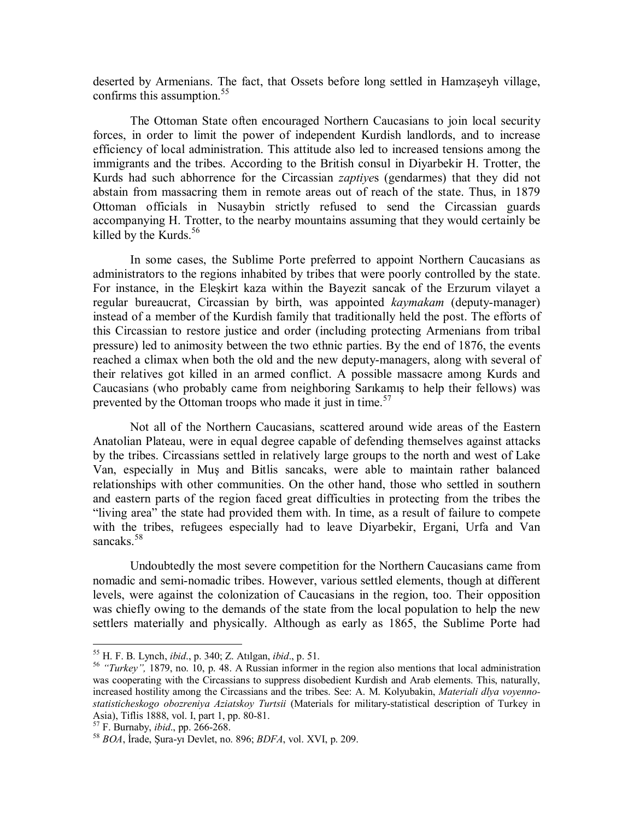deserted by Armenians. The fact, that Ossets before long settled in Hamzaşeyh village, confirms this assumption.<sup>55</sup>

The Ottoman State often encouraged Northern Caucasians to join local security forces, in order to limit the power of independent Kurdish landlords, and to increase efficiency of local administration. This attitude also led to increased tensions among the immigrants and the tribes. According to the British consul in Diyarbekir H. Trotter, the Kurds had such abhorrence for the Circassian *zaptiye*s (gendarmes) that they did not abstain from massacring them in remote areas out of reach of the state. Thus, in 1879 Ottoman officials in Nusaybin strictly refused to send the Circassian guards accompanying H. Trotter, to the nearby mountains assuming that they would certainly be killed by the Kurds. $56$ 

In some cases, the Sublime Porte preferred to appoint Northern Caucasians as administrators to the regions inhabited by tribes that were poorly controlled by the state. For instance, in the Eleşkirt kaza within the Bayezit sancak of the Erzurum vilayet a regular bureaucrat, Circassian by birth, was appointed *kaymakam* (deputy-manager) instead of a member of the Kurdish family that traditionally held the post. The efforts of this Circassian to restore justice and order (including protecting Armenians from tribal pressure) led to animosity between the two ethnic parties. By the end of 1876, the events reached a climax when both the old and the new deputy-managers, along with several of their relatives got killed in an armed conflict. A possible massacre among Kurds and Caucasians (who probably came from neighboring Sarıkamış to help their fellows) was prevented by the Ottoman troops who made it just in time.<sup>57</sup>

Not all of the Northern Caucasians, scattered around wide areas of the Eastern Anatolian Plateau, were in equal degree capable of defending themselves against attacks by the tribes. Circassians settled in relatively large groups to the north and west of Lake Van, especially in Muş and Bitlis sancaks, were able to maintain rather balanced relationships with other communities. On the other hand, those who settled in southern and eastern parts of the region faced great difficulties in protecting from the tribes the "living area" the state had provided them with. In time, as a result of failure to compete with the tribes, refugees especially had to leave Diyarbekir, Ergani, Urfa and Van sancaks.<sup>58</sup>

Undoubtedly the most severe competition for the Northern Caucasians came from nomadic and semi-nomadic tribes. However, various settled elements, though at different levels, were against the colonization of Caucasians in the region, too. Their opposition was chiefly owing to the demands of the state from the local population to help the new settlers materially and physically. Although as early as 1865, the Sublime Porte had

<sup>&</sup>lt;sup>55</sup> H. F. B. Lynch, *ibid.*, p. 340; Z. Atilgan, *ibid.*, p. 51.<br><sup>56</sup> *"Turkey"*, 1879, no. 10, p. 48. A Russian informer in the region also mentions that local administration was cooperating with the Circassians to suppress disobedient Kurdish and Arab elements. This, naturally, increased hostility among the Circassians and the tribes. See: A. M. Kolyubakin, *Materiali dlya voyennostatisticheskogo obozreniya Aziatskoy Turtsii* (Materials for military-statistical description of Turkey in Asia), Tiflis 1888, vol. I, part 1, pp. 80-81.<br><sup>57</sup> F. Burnaby, *ibid.*, pp. 266-268.

<sup>&</sup>lt;sup>58</sup> BOA, İrade, Sura-yı Devlet, no. 896; *BDFA*, vol. XVI, p. 209.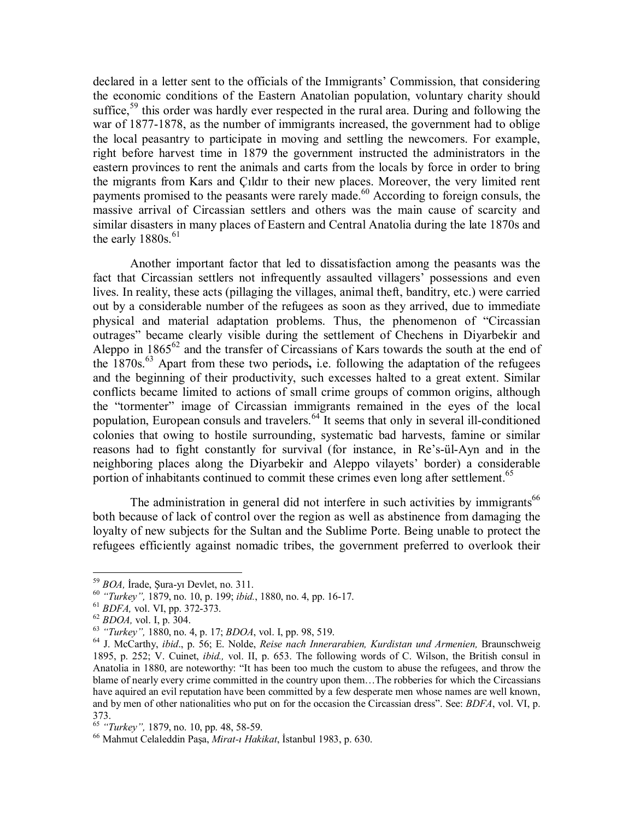declared in a letter sent to the officials of the Immigrants' Commission, that considering the economic conditions of the Eastern Anatolian population, voluntary charity should suffice,<sup>59</sup> this order was hardly ever respected in the rural area. During and following the war of 1877-1878, as the number of immigrants increased, the government had to oblige the local peasantry to participate in moving and settling the newcomers. For example, right before harvest time in 1879 the government instructed the administrators in the eastern provinces to rent the animals and carts from the locals by force in order to bring the migrants from Kars and Çıldır to their new places. Moreover, the very limited rent payments promised to the peasants were rarely made.<sup>60</sup> According to foreign consuls, the massive arrival of Circassian settlers and others was the main cause of scarcity and similar disasters in many places of Eastern and Central Anatolia during the late 1870s and the early  $1880s.^{61}$ 

Another important factor that led to dissatisfaction among the peasants was the fact that Circassian settlers not infrequently assaulted villagers' possessions and even lives. In reality, these acts (pillaging the villages, animal theft, banditry, etc.) were carried out by a considerable number of the refugees as soon as they arrived, due to immediate physical and material adaptation problems. Thus, the phenomenon of "Circassian outrages" became clearly visible during the settlement of Chechens in Diyarbekir and Aleppo in  $1865^{62}$  and the transfer of Circassians of Kars towards the south at the end of the 1870s.63 Apart from these two periods**,** i.e. following the adaptation of the refugees and the beginning of their productivity, such excesses halted to a great extent. Similar conflicts became limited to actions of small crime groups of common origins, although the "tormenter" image of Circassian immigrants remained in the eyes of the local population, European consuls and travelers.<sup>64</sup> It seems that only in several ill-conditioned colonies that owing to hostile surrounding, systematic bad harvests, famine or similar reasons had to fight constantly for survival (for instance, in Re's-ül-Ayn and in the neighboring places along the Diyarbekir and Aleppo vilayets' border) a considerable portion of inhabitants continued to commit these crimes even long after settlement.<sup>65</sup>

The administration in general did not interfere in such activities by immigrants<sup>66</sup> both because of lack of control over the region as well as abstinence from damaging the loyalty of new subjects for the Sultan and the Sublime Porte. Being unable to protect the refugees efficiently against nomadic tribes, the government preferred to overlook their

<sup>&</sup>lt;sup>59</sup> BOA, Irade, Şura-yı Devlet, no. 311.<br>
<sup>60</sup> "Turkey", 1879, no. 10, p. 199; *ibid.*, 1880, no. 4, pp. 16-17.<br>
<sup>61</sup> BDFA, vol. VI, pp. 372-373.<br>
<sup>62</sup> BDOA, vol. I, p. 304.<br>
<sup>63</sup> "Turkey", 1880, no. 4, p. 17; BDOA, vol. 1895, p. 252; V. Cuinet, *ibid.,* vol. II, p. 653. The following words of C. Wilson, the British consul in Anatolia in 1880, are noteworthy: "It has been too much the custom to abuse the refugees, and throw the blame of nearly every crime committed in the country upon them…The robberies for which the Circassians have aquired an evil reputation have been committed by a few desperate men whose names are well known, and by men of other nationalities who put on for the occasion the Circassian dress". See: *BDFA*, vol. VI, p. 373.<br><sup>65</sup> "Turkey", 1879, no. 10, pp. 48, 58-59.

<sup>&</sup>lt;sup>66</sup> Mahmut Celaleddin Pasa, *Mirat-ı Hakikat*, İstanbul 1983, p. 630.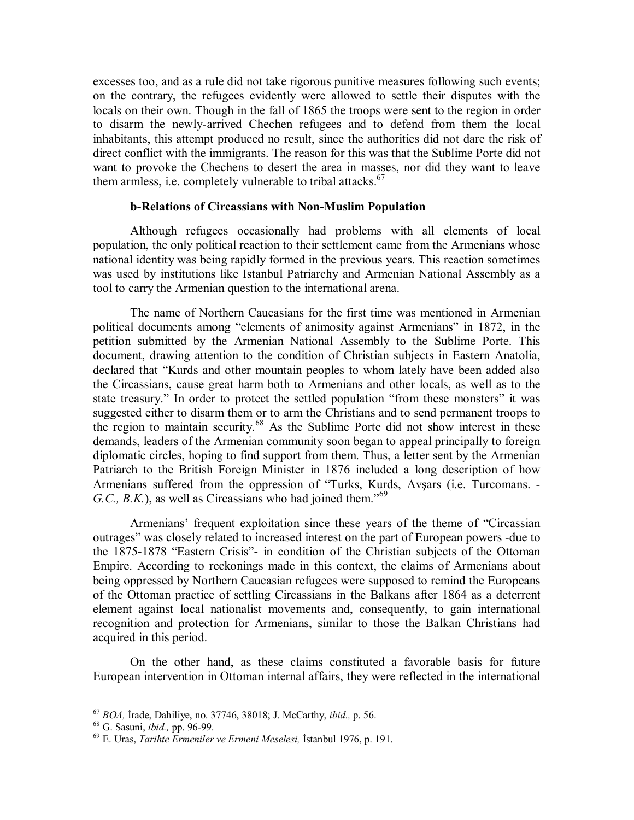excesses too, and as a rule did not take rigorous punitive measures following such events; on the contrary, the refugees evidently were allowed to settle their disputes with the locals on their own. Though in the fall of 1865 the troops were sent to the region in order to disarm the newly-arrived Chechen refugees and to defend from them the local inhabitants, this attempt produced no result, since the authorities did not dare the risk of direct conflict with the immigrants. The reason for this was that the Sublime Porte did not want to provoke the Chechens to desert the area in masses, nor did they want to leave them armless, i.e. completely vulnerable to tribal attacks. $67$ 

# **b-Relations of Circassians with Non-Muslim Population**

Although refugees occasionally had problems with all elements of local population, the only political reaction to their settlement came from the Armenians whose national identity was being rapidly formed in the previous years. This reaction sometimes was used by institutions like Istanbul Patriarchy and Armenian National Assembly as a tool to carry the Armenian question to the international arena.

The name of Northern Caucasians for the first time was mentioned in Armenian political documents among "elements of animosity against Armenians" in 1872, in the petition submitted by the Armenian National Assembly to the Sublime Porte. This document, drawing attention to the condition of Christian subjects in Eastern Anatolia, declared that "Kurds and other mountain peoples to whom lately have been added also the Circassians, cause great harm both to Armenians and other locals, as well as to the state treasury." In order to protect the settled population "from these monsters" it was suggested either to disarm them or to arm the Christians and to send permanent troops to the region to maintain security.68 As the Sublime Porte did not show interest in these demands, leaders of the Armenian community soon began to appeal principally to foreign diplomatic circles, hoping to find support from them. Thus, a letter sent by the Armenian Patriarch to the British Foreign Minister in 1876 included a long description of how Armenians suffered from the oppression of "Turks, Kurds, Avşars (i.e. Turcomans. *- G.C., B.K.*), as well as Circassians who had joined them."<sup>69</sup>

Armenians' frequent exploitation since these years of the theme of "Circassian outrages" was closely related to increased interest on the part of European powers -due to the 1875-1878 "Eastern Crisis"- in condition of the Christian subjects of the Ottoman Empire. According to reckonings made in this context, the claims of Armenians about being oppressed by Northern Caucasian refugees were supposed to remind the Europeans of the Ottoman practice of settling Circassians in the Balkans after 1864 as a deterrent element against local nationalist movements and, consequently, to gain international recognition and protection for Armenians, similar to those the Balkan Christians had acquired in this period.

On the other hand, as these claims constituted a favorable basis for future European intervention in Ottoman internal affairs, they were reflected in the international

<sup>&</sup>lt;sup>67</sup> *BOA*, İrade, Dahiliye, no. 37746, 38018; J. McCarthy, *ibid.*, p. 56.<br><sup>68</sup> G. Sasuni, *ibid.*, pp. 96-99.<br><sup>69</sup> E. Uras, *Tarihte Ermeniler ve Ermeni Meselesi*, İstanbul 1976, p. 191.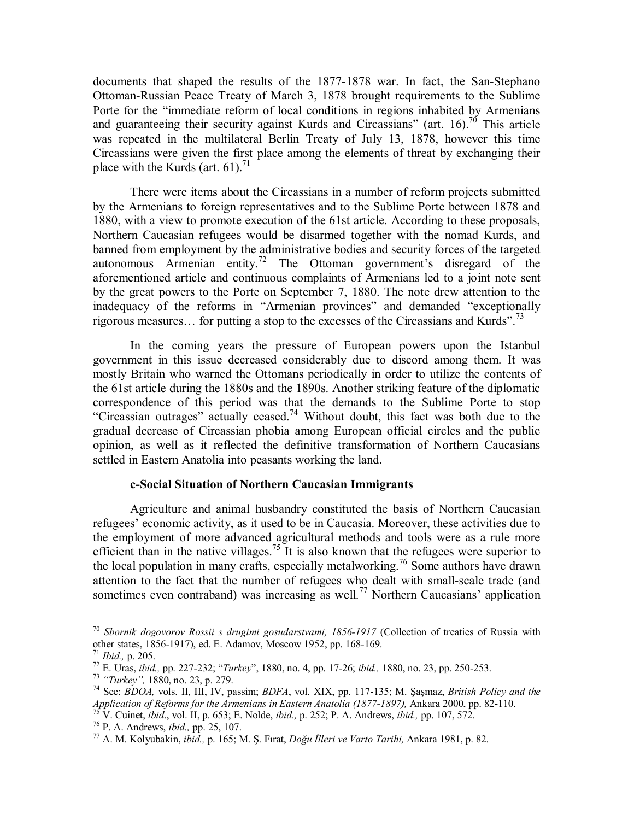documents that shaped the results of the 1877-1878 war. In fact, the San-Stephano Ottoman-Russian Peace Treaty of March 3, 1878 brought requirements to the Sublime Porte for the "immediate reform of local conditions in regions inhabited by Armenians and guaranteeing their security against Kurds and Circassians" (art. 16).<sup>70</sup> This article was repeated in the multilateral Berlin Treaty of July 13, 1878, however this time Circassians were given the first place among the elements of threat by exchanging their place with the Kurds (art.  $61$ ).<sup>71</sup>

There were items about the Circassians in a number of reform projects submitted by the Armenians to foreign representatives and to the Sublime Porte between 1878 and 1880, with a view to promote execution of the 61st article. According to these proposals, Northern Caucasian refugees would be disarmed together with the nomad Kurds, and banned from employment by the administrative bodies and security forces of the targeted autonomous Armenian entity.<sup>72</sup> The Ottoman government's disregard of the aforementioned article and continuous complaints of Armenians led to a joint note sent by the great powers to the Porte on September 7, 1880. The note drew attention to the inadequacy of the reforms in "Armenian provinces" and demanded "exceptionally rigorous measures... for putting a stop to the excesses of the Circassians and Kurds".<sup>73</sup>

In the coming years the pressure of European powers upon the Istanbul government in this issue decreased considerably due to discord among them. It was mostly Britain who warned the Ottomans periodically in order to utilize the contents of the 61st article during the 1880s and the 1890s. Another striking feature of the diplomatic correspondence of this period was that the demands to the Sublime Porte to stop "Circassian outrages" actually ceased.<sup>74</sup> Without doubt, this fact was both due to the gradual decrease of Circassian phobia among European official circles and the public opinion, as well as it reflected the definitive transformation of Northern Caucasians settled in Eastern Anatolia into peasants working the land.

#### **c-Social Situation of Northern Caucasian Immigrants**

Agriculture and animal husbandry constituted the basis of Northern Caucasian refugees' economic activity, as it used to be in Caucasia. Moreover, these activities due to the employment of more advanced agricultural methods and tools were as a rule more efficient than in the native villages.<sup>75</sup> It is also known that the refugees were superior to the local population in many crafts, especially metalworking.<sup>76</sup> Some authors have drawn attention to the fact that the number of refugees who dealt with small-scale trade (and sometimes even contraband) was increasing as well.<sup>77</sup> Northern Caucasians' application

<sup>70</sup> *Sbornik dogovorov Rossii s drugimi gosudarstvami, 1856-1917* (Collection of treaties of Russia with other states, 1856-1917), ed. E. Adamov, Moscow 1952, pp. 168-169.<br><sup>71</sup> *Ibid.*. p. 205.

<sup>&</sup>lt;sup>72</sup> E. Uras, *ibid.*, pp. 227-232; "Turkey", 1880, no. 4, pp. 17-26; *ibid.*, 1880, no. 23, pp. 250-253.<br><sup>73</sup> "Turkey", 1880, no. 23, p. 279.<br><sup>74</sup> See: *BDOA*, vols. II, III, IV, passim; *BDFA*, vol. XIX, pp. 117-135; M.

Application of Reforms for the Armenians in Eastern Anatolia (1877-1897), Ankara 2000, pp. 82-110.<br><sup>75</sup> V. Cuinet, *ibid.*, vol. II, p. 653; E. Nolde, *ibid.*, p. 252; P. A. Andrews, *ibid.*, pp. 107, 572.<br><sup>76</sup> P. A. Andr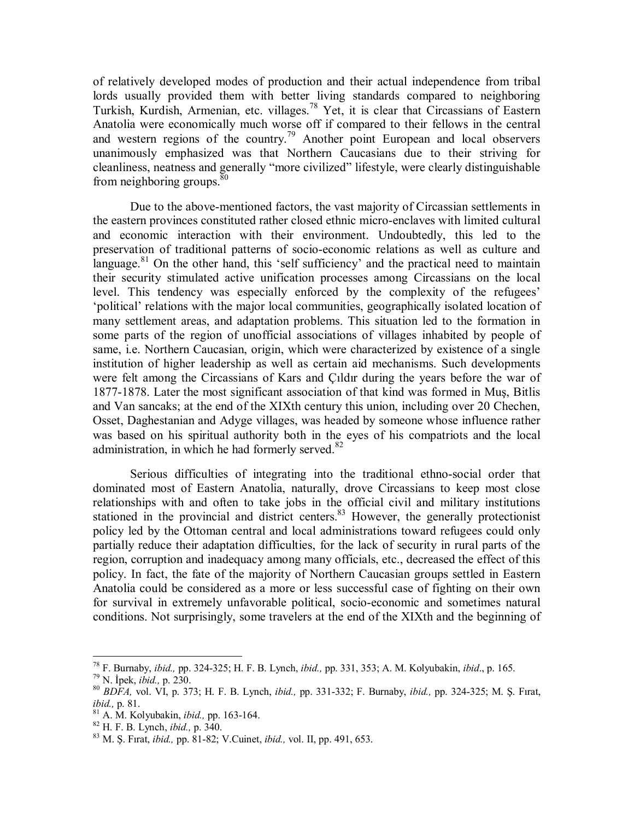of relatively developed modes of production and their actual independence from tribal lords usually provided them with better living standards compared to neighboring Turkish, Kurdish, Armenian, etc. villages.78 Yet, it is clear that Circassians of Eastern Anatolia were economically much worse off if compared to their fellows in the central and western regions of the country.<sup>79</sup> Another point European and local observers unanimously emphasized was that Northern Caucasians due to their striving for cleanliness, neatness and generally "more civilized" lifestyle, were clearly distinguishable from neighboring groups. $80^\circ$ 

Due to the above-mentioned factors, the vast majority of Circassian settlements in the eastern provinces constituted rather closed ethnic micro-enclaves with limited cultural and economic interaction with their environment. Undoubtedly, this led to the preservation of traditional patterns of socio-economic relations as well as culture and language.<sup>81</sup> On the other hand, this 'self sufficiency' and the practical need to maintain their security stimulated active unification processes among Circassians on the local level. This tendency was especially enforced by the complexity of the refugees' 'political' relations with the major local communities, geographically isolated location of many settlement areas, and adaptation problems. This situation led to the formation in some parts of the region of unofficial associations of villages inhabited by people of same, i.e. Northern Caucasian, origin, which were characterized by existence of a single institution of higher leadership as well as certain aid mechanisms. Such developments were felt among the Circassians of Kars and Çıldır during the years before the war of 1877-1878. Later the most significant association of that kind was formed in Muş, Bitlis and Van sancaks; at the end of the XIXth century this union, including over 20 Chechen, Osset, Daghestanian and Adyge villages, was headed by someone whose influence rather was based on his spiritual authority both in the eyes of his compatriots and the local administration, in which he had formerly served. $82$ 

Serious difficulties of integrating into the traditional ethno-social order that dominated most of Eastern Anatolia, naturally, drove Circassians to keep most close relationships with and often to take jobs in the official civil and military institutions stationed in the provincial and district centers.<sup>83</sup> However, the generally protectionist policy led by the Ottoman central and local administrations toward refugees could only partially reduce their adaptation difficulties, for the lack of security in rural parts of the region, corruption and inadequacy among many officials, etc., decreased the effect of this policy. In fact, the fate of the majority of Northern Caucasian groups settled in Eastern Anatolia could be considered as a more or less successful case of fighting on their own for survival in extremely unfavorable political, socio-economic and sometimes natural conditions. Not surprisingly, some travelers at the end of the XIXth and the beginning of

<sup>&</sup>lt;sup>78</sup> F. Burnaby, *ibid.*, pp. 324-325; H. F. B. Lynch, *ibid.*, pp. 331, 353; A. M. Kolyubakin, *ibid.*, p. 165.<br><sup>79</sup> N. İpek, *ibid.*, p. 230.<br><sup>80</sup> BDFA, vol. VI, p. 373; H. F. B. Lynch, *ibid.*, pp. 331-332; F. Burnaby,

*ibid.*, p. 81.<br><sup>81</sup> A. M. Kolyubakin, *ibid.*, pp. 163-164.<br><sup>82</sup> H. F. B. Lynch, *ibid.*, p. 340.<br><sup>83</sup> M. S. Fırat, *ibid.*, pp. 81-82; V.Cuinet, *ibid.*, vol. II, pp. 491, 653.